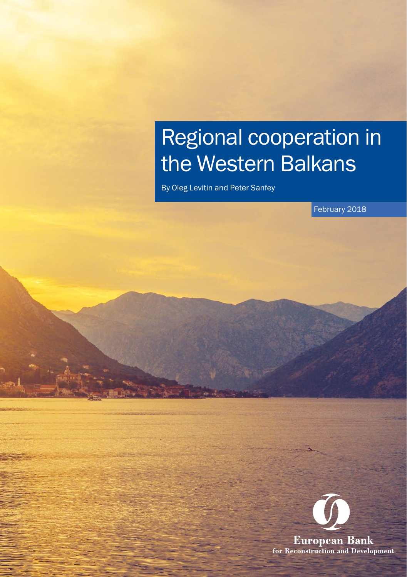# Regional cooperation in the Western Balkans

By Oleg Levitin and Peter Sanfey

February 2018



**European Bank** for Reconstruction and Development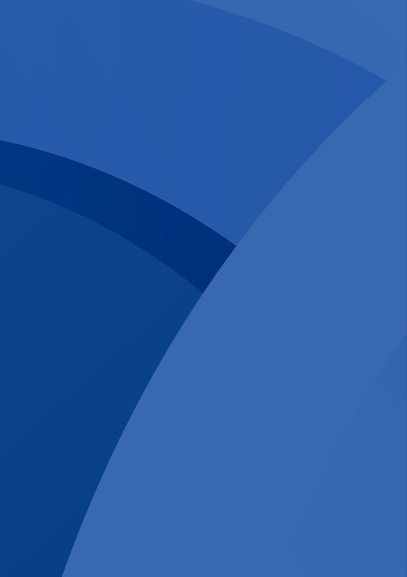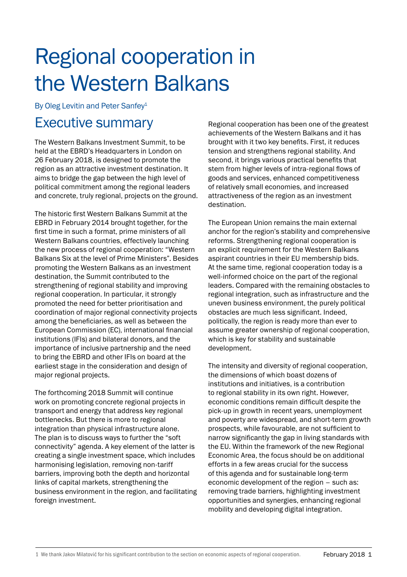# Regional cooperation in the Western Balkans

By Oleg Levitin and Peter Sanfey<sup>1</sup>

## Executive summary

The Western Balkans Investment Summit, to be held at the EBRD's Headquarters in London on 26 February 2018, is designed to promote the region as an attractive investment destination. It aims to bridge the gap between the high level of political commitment among the regional leaders and concrete, truly regional, projects on the ground.

The historic first Western Balkans Summit at the EBRD in February 2014 brought together, for the first time in such a format, prime ministers of all Western Balkans countries, effectively launching the new process of regional cooperation: "Western Balkans Six at the level of Prime Ministers". Besides promoting the Western Balkans as an investment destination, the Summit contributed to the strengthening of regional stability and improving regional cooperation. In particular, it strongly promoted the need for better prioritisation and coordination of major regional connectivity projects among the beneficiaries, as well as between the European Commission (EC), international financial institutions (IFIs) and bilateral donors, and the importance of inclusive partnership and the need to bring the EBRD and other IFIs on board at the earliest stage in the consideration and design of major regional projects.

The forthcoming 2018 Summit will continue work on promoting concrete regional projects in transport and energy that address key regional bottlenecks. But there is more to regional integration than physical infrastructure alone. The plan is to discuss ways to further the "soft connectivity" agenda. A key element of the latter is creating a single investment space, which includes harmonising legislation, removing non-tariff barriers, improving both the depth and horizontal links of capital markets, strengthening the business environment in the region, and facilitating foreign investment.

Regional cooperation has been one of the greatest achievements of the Western Balkans and it has brought with it two key benefits. First, it reduces tension and strengthens regional stability. And second, it brings various practical benefits that stem from higher levels of intra-regional flows of goods and services, enhanced competitiveness of relatively small economies, and increased attractiveness of the region as an investment destination.

The European Union remains the main external anchor for the region's stability and comprehensive reforms. Strengthening regional cooperation is an explicit requirement for the Western Balkans aspirant countries in their EU membership bids. At the same time, regional cooperation today is a well-informed choice on the part of the regional leaders. Compared with the remaining obstacles to regional integration, such as infrastructure and the uneven business environment, the purely political obstacles are much less significant. Indeed, politically, the region is ready more than ever to assume greater ownership of regional cooperation, which is key for stability and sustainable development.

The intensity and diversity of regional cooperation, the dimensions of which boast dozens of institutions and initiatives, is a contribution to regional stability in its own right. However, economic conditions remain difficult despite the pick-up in growth in recent years, unemployment and poverty are widespread, and short-term growth prospects, while favourable, are not sufficient to narrow significantly the gap in living standards with the EU. Within the framework of the new Regional Economic Area, the focus should be on additional efforts in a few areas crucial for the success of this agenda and for sustainable long-term economic development of the region – such as: removing trade barriers, highlighting investment opportunities and synergies, enhancing regional mobility and developing digital integration.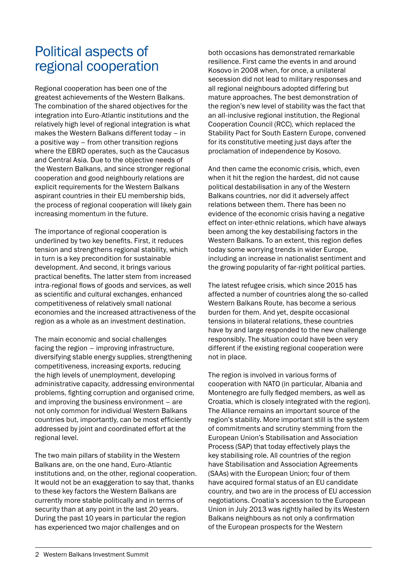## Political aspects of regional cooperation

Regional cooperation has been one of the greatest achievements of the Western Balkans. The combination of the shared objectives for the integration into Euro-Atlantic institutions and the relatively high level of regional integration is what makes the Western Balkans different today – in a positive way – from other transition regions where the EBRD operates, such as the Caucasus and Central Asia. Due to the objective needs of the Western Balkans, and since stronger regional cooperation and good neighbourly relations are explicit requirements for the Western Balkans aspirant countries in their EU membership bids, the process of regional cooperation will likely gain increasing momentum in the future.

The importance of regional cooperation is underlined by two key benefits. First, it reduces tension and strengthens regional stability, which in turn is a key precondition for sustainable development. And second, it brings various practical benefits. The latter stem from increased intra-regional flows of goods and services, as well as scientific and cultural exchanges, enhanced competitiveness of relatively small national economies and the increased attractiveness of the region as a whole as an investment destination.

The main economic and social challenges facing the region – improving infrastructure, diversifying stable energy supplies, strengthening competitiveness, increasing exports, reducing the high levels of unemployment, developing administrative capacity, addressing environmental problems, fighting corruption and organised crime, and improving the business environment – are not only common for individual Western Balkans countries but, importantly, can be most efficiently addressed by joint and coordinated effort at the regional level.

The two main pillars of stability in the Western Balkans are, on the one hand, Euro-Atlantic institutions and, on the other, regional cooperation. It would not be an exaggeration to say that, thanks to these key factors the Western Balkans are currently more stable politically and in terms of security than at any point in the last 20 years. During the past 10 years in particular the region has experienced two major challenges and on

both occasions has demonstrated remarkable resilience. First came the events in and around Kosovo in 2008 when, for once, a unilateral secession did not lead to military responses and all regional neighbours adopted differing but mature approaches. The best demonstration of the region's new level of stability was the fact that an all-inclusive regional institution, the Regional Cooperation Council (RCC), which replaced the Stability Pact for South Eastern Europe, convened for its constitutive meeting just days after the proclamation of independence by Kosovo.

And then came the economic crisis, which, even when it hit the region the hardest, did not cause political destabilisation in any of the Western Balkans countries, nor did it adversely affect relations between them. There has been no evidence of the economic crisis having a negative effect on inter-ethnic relations, which have always been among the key destabilising factors in the Western Balkans. To an extent, this region defies today some worrying trends in wider Europe, including an increase in nationalist sentiment and the growing popularity of far-right political parties.

The latest refugee crisis, which since 2015 has affected a number of countries along the so-called Western Balkans Route, has become a serious burden for them. And yet, despite occasional tensions in bilateral relations, these countries have by and large responded to the new challenge responsibly. The situation could have been very different if the existing regional cooperation were not in place.

The region is involved in various forms of cooperation with NATO (in particular, Albania and Montenegro are fully fledged members, as well as Croatia, which is closely integrated with the region). The Alliance remains an important source of the region's stability. More important still is the system of commitments and scrutiny stemming from the European Union's Stabilisation and Association Process (SAP) that today effectively plays the key stabilising role. All countries of the region have Stabilisation and Association Agreements (SAAs) with the European Union; four of them have acquired formal status of an EU candidate country, and two are in the process of EU accession negotiations. Croatia's accession to the European Union in July 2013 was rightly hailed by its Western Balkans neighbours as not only a confirmation of the European prospects for the Western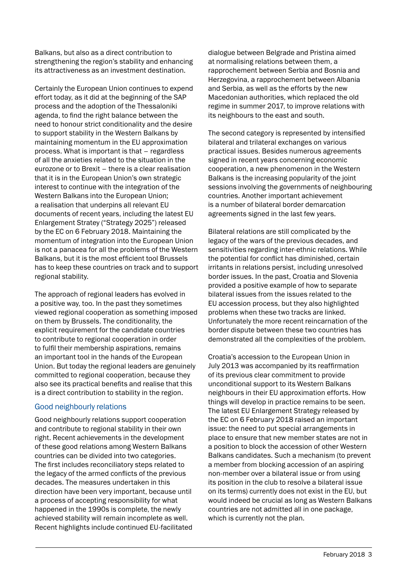Balkans, but also as a direct contribution to strengthening the region's stability and enhancing its attractiveness as an investment destination.

Certainly the European Union continues to expend effort today, as it did at the beginning of the SAP process and the adoption of the Thessaloniki agenda, to find the right balance between the need to honour strict conditionality and the desire to support stability in the Western Balkans by maintaining momentum in the EU approximation process. What is important is that – regardless of all the anxieties related to the situation in the eurozone or to Brexit – there is a clear realisation that it is in the European Union's own strategic interest to continue with the integration of the Western Balkans into the European Union; a realisation that underpins all relevant EU documents of recent years, including the latest EU Enlargement Stratey ("Strategy 2025") released by the EC on 6 February 2018. Maintaining the momentum of integration into the European Union is not a panacea for all the problems of the Western Balkans, but it is the most efficient tool Brussels has to keep these countries on track and to support regional stability.

The approach of regional leaders has evolved in a positive way, too. In the past they sometimes viewed regional cooperation as something imposed on them by Brussels. The conditionality, the explicit requirement for the candidate countries to contribute to regional cooperation in order to fulfil their membership aspirations, remains an important tool in the hands of the European Union. But today the regional leaders are genuinely committed to regional cooperation, because they also see its practical benefits and realise that this is a direct contribution to stability in the region.

#### Good neighbourly relations

Good neighbourly relations support cooperation and contribute to regional stability in their own right. Recent achievements in the development of these good relations among Western Balkans countries can be divided into two categories. The first includes reconciliatory steps related to the legacy of the armed conflicts of the previous decades. The measures undertaken in this direction have been very important, because until a process of accepting responsibility for what happened in the 1990s is complete, the newly achieved stability will remain incomplete as well. Recent highlights include continued EU-facilitated dialogue between Belgrade and Pristina aimed at normalising relations between them, a rapprochement between Serbia and Bosnia and Herzegovina, a rapprochement between Albania and Serbia, as well as the efforts by the new Macedonian authorities, which replaced the old regime in summer 2017, to improve relations with its neighbours to the east and south.

The second category is represented by intensified bilateral and trilateral exchanges on various practical issues. Besides numerous agreements signed in recent years concerning economic cooperation, a new phenomenon in the Western Balkans is the increasing popularity of the joint sessions involving the governments of neighbouring countries. Another important achievement is a number of bilateral border demarcation agreements signed in the last few years.

Bilateral relations are still complicated by the legacy of the wars of the previous decades, and sensitivities regarding inter-ethnic relations. While the potential for conflict has diminished, certain irritants in relations persist, including unresolved border issues. In the past, Croatia and Slovenia provided a positive example of how to separate bilateral issues from the issues related to the EU accession process, but they also highlighted problems when these two tracks are linked. Unfortunately the more recent reincarnation of the border dispute between these two countries has demonstrated all the complexities of the problem.

Croatia's accession to the European Union in July 2013 was accompanied by its reaffirmation of its previous clear commitment to provide unconditional support to its Western Balkans neighbours in their EU approximation efforts. How things will develop in practice remains to be seen. The latest EU Enlargement Strategy released by the EC on 6 February 2018 raised an important issue: the need to put special arrangements in place to ensure that new member states are not in a position to block the accession of other Western Balkans candidates. Such a mechanism (to prevent a member from blocking accession of an aspiring non-member over a bilateral issue or from using its position in the club to resolve a bilateral issue on its terms) currently does not exist in the EU, but would indeed be crucial as long as Western Balkans countries are not admitted all in one package, which is currently not the plan.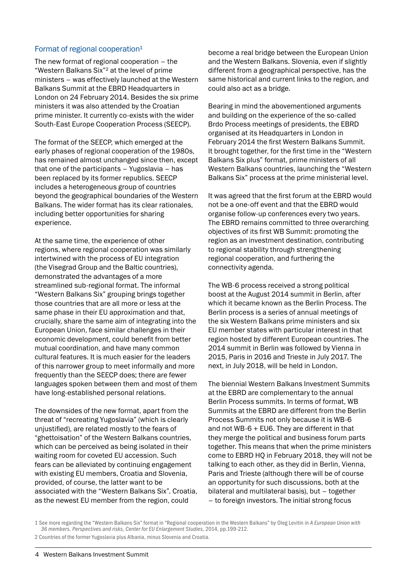#### Format of regional cooperation $1$

The new format of regional cooperation – the "Western Balkans Six"² at the level of prime ministers – was effectively launched at the Western Balkans Summit at the EBRD Headquarters in London on 24 February 2014. Besides the six prime ministers it was also attended by the Croatian prime minister. It currently co-exists with the wider South-East Europe Cooperation Process (SEECP).

The format of the SEECP, which emerged at the early phases of regional cooperation of the 1980s, has remained almost unchanged since then, except that one of the participants – Yugoslavia – has been replaced by its former republics. SEECP includes a heterogeneous group of countries beyond the geographical boundaries of the Western Balkans. The wider format has its clear rationales, including better opportunities for sharing experience.

At the same time, the experience of other regions, where regional cooperation was similarly intertwined with the process of EU integration (the Visegrad Group and the Baltic countries), demonstrated the advantages of a more streamlined sub-regional format. The informal "Western Balkans Six" grouping brings together those countries that are all more or less at the same phase in their EU approximation and that, crucially, share the same aim of integrating into the European Union, face similar challenges in their economic development, could benefit from better mutual coordination, and have many common cultural features. It is much easier for the leaders of this narrower group to meet informally and more frequently than the SEECP does; there are fewer languages spoken between them and most of them have long-established personal relations.

The downsides of the new format, apart from the threat of "recreating Yugoslavia" (which is clearly unjustified), are related mostly to the fears of "ghettoisation" of the Western Balkans countries, which can be perceived as being isolated in their waiting room for coveted EU accession. Such fears can be alleviated by continuing engagement with existing EU members, Croatia and Slovenia, provided, of course, the latter want to be associated with the "Western Balkans Six". Croatia, as the newest EU member from the region, could

become a real bridge between the European Union and the Western Balkans. Slovenia, even if slightly different from a geographical perspective, has the same historical and current links to the region, and could also act as a bridge.

Bearing in mind the abovementioned arguments and building on the experience of the so-called Brdo Process meetings of presidents, the EBRD organised at its Headquarters in London in February 2014 the first Western Balkans Summit. It brought together, for the first time in the "Western Balkans Six plus" format, prime ministers of all Western Balkans countries, launching the "Western Balkans Six" process at the prime ministerial level.

It was agreed that the first forum at the EBRD would not be a one-off event and that the EBRD would organise follow-up conferences every two years. The EBRD remains committed to three overarching objectives of its first WB Summit: promoting the region as an investment destination, contributing to regional stability through strengthening regional cooperation, and furthering the connectivity agenda.

The WB-6 process received a strong political boost at the August 2014 summit in Berlin, after which it became known as the Berlin Process. The Berlin process is a series of annual meetings of the six Western Balkans prime ministers and six EU member states with particular interest in that region hosted by different European countries. The 2014 summit in Berlin was followed by Vienna in 2015, Paris in 2016 and Trieste in July 2017. The next, in July 2018, will be held in London.

The biennial Western Balkans Investment Summits at the EBRD are complementary to the annual Berlin Process summits. In terms of format, WB Summits at the EBRD are different from the Berlin Process Summits not only because it is WB-6 and not WB-6 + EU6. They are different in that they merge the political and business forum parts together. This means that when the prime ministers come to EBRD HQ in February 2018, they will not be talking to each other, as they did in Berlin, Vienna, Paris and Trieste (although there will be of course an opportunity for such discussions, both at the bilateral and multilateral basis), but – together – to foreign investors. The initial strong focus

1 See more regarding the "Western Balkans Six" format in "Regional cooperation in the Western Balkans" by Oleg Levitin in *A European Union with 36 members. Perspectives and risks, Center for EU Enlargement Studies*, 2014, pp.199-212.

2 Countries of the former Yugoslavia plus Albania, minus Slovenia and Croatia.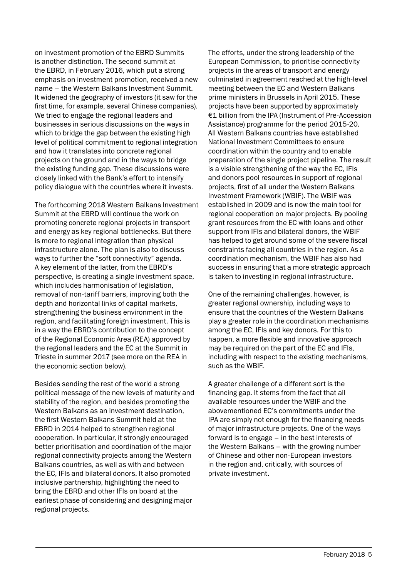on investment promotion of the EBRD Summits is another distinction. The second summit at the EBRD, in February 2016, which put a strong emphasis on investment promotion, received a new name – the Western Balkans Investment Summit. It widened the geography of investors (it saw for the first time, for example, several Chinese companies). We tried to engage the regional leaders and businesses in serious discussions on the ways in which to bridge the gap between the existing high level of political commitment to regional integration and how it translates into concrete regional projects on the ground and in the ways to bridge the existing funding gap. These discussions were closely linked with the Bank's effort to intensify policy dialogue with the countries where it invests.

The forthcoming 2018 Western Balkans Investment Summit at the EBRD will continue the work on promoting concrete regional projects in transport and energy as key regional bottlenecks. But there is more to regional integration than physical infrastructure alone. The plan is also to discuss ways to further the "soft connectivity" agenda. A key element of the latter, from the EBRD's perspective, is creating a single investment space, which includes harmonisation of legislation, removal of non-tariff barriers, improving both the depth and horizontal links of capital markets, strengthening the business environment in the region, and facilitating foreign investment. This is in a way the EBRD's contribution to the concept of the Regional Economic Area (REA) approved by the regional leaders and the EC at the Summit in Trieste in summer 2017 (see more on the REA in the economic section below).

Besides sending the rest of the world a strong political message of the new levels of maturity and stability of the region, and besides promoting the Western Balkans as an investment destination, the first Western Balkans Summit held at the EBRD in 2014 helped to strengthen regional cooperation. In particular, it strongly encouraged better prioritisation and coordination of the major regional connectivity projects among the Western Balkans countries, as well as with and between the EC, IFIs and bilateral donors. It also promoted inclusive partnership, highlighting the need to bring the EBRD and other IFIs on board at the earliest phase of considering and designing major regional projects.

The efforts, under the strong leadership of the European Commission, to prioritise connectivity projects in the areas of transport and energy culminated in agreement reached at the high-level meeting between the EC and Western Balkans prime ministers in Brussels in April 2015. These projects have been supported by approximately €1 billion from the IPA (Instrument of Pre-Accession Assistance) programme for the period 2015-20. All Western Balkans countries have established National Investment Committees to ensure coordination within the country and to enable preparation of the single project pipeline. The result is a visible strengthening of the way the EC, IFIs and donors pool resources in support of regional projects, first of all under the Western Balkans Investment Framework (WBIF). The WBIF was established in 2009 and is now the main tool for regional cooperation on major projects. By pooling grant resources from the EC with loans and other support from IFIs and bilateral donors, the WBIF has helped to get around some of the severe fiscal constraints facing all countries in the region. As a coordination mechanism, the WBIF has also had success in ensuring that a more strategic approach is taken to investing in regional infrastructure.

One of the remaining challenges, however, is greater regional ownership, including ways to ensure that the countries of the Western Balkans play a greater role in the coordination mechanisms among the EC, IFIs and key donors. For this to happen, a more flexible and innovative approach may be required on the part of the EC and IFIs, including with respect to the existing mechanisms, such as the WBIF.

A greater challenge of a different sort is the financing gap. It stems from the fact that all available resources under the WBIF and the abovementioned EC's commitments under the IPA are simply not enough for the financing needs of major infrastructure projects. One of the ways forward is to engage – in the best interests of the Western Balkans – with the growing number of Chinese and other non-European investors in the region and, critically, with sources of private investment.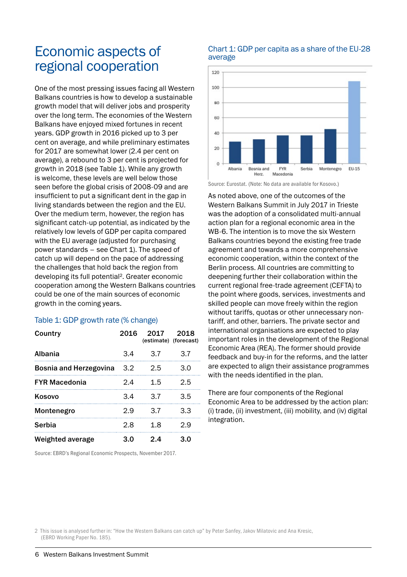## Economic aspects of regional cooperation

One of the most pressing issues facing all Western Balkans countries is how to develop a sustainable growth model that will deliver jobs and prosperity over the long term. The economies of the Western Balkans have enjoyed mixed fortunes in recent years. GDP growth in 2016 picked up to 3 per cent on average, and while preliminary estimates for 2017 are somewhat lower (2.4 per cent on average), a rebound to 3 per cent is projected for growth in 2018 (see Table 1). While any growth is welcome, these levels are well below those seen before the global crisis of 2008-09 and are insufficient to put a significant dent in the gap in living standards between the region and the EU. Over the medium term, however, the region has significant catch-up potential, as indicated by the relatively low levels of GDP per capita compared with the EU average (adjusted for purchasing power standards – see Chart 1). The speed of catch up will depend on the pace of addressing the challenges that hold back the region from developing its full potential². Greater economic cooperation among the Western Balkans countries could be one of the main sources of economic growth in the coming years.

### Table 1: GDP growth rate (% change)

| Country                    | 2016 | 2017<br>(estimate) (forecast) | 2018 |
|----------------------------|------|-------------------------------|------|
| Albania                    | 3.4  | 37                            | 3.7  |
| Bosnia and Herzegovina 3.2 |      | 2.5                           | 3.0  |
| <b>FYR Macedonia</b>       | 24   | 15                            | 25   |
| Kosovo                     | 3.4  | 37                            | 3.5  |
| Montenegro                 | 29   | 37                            | 3.3  |
| Serbia                     | 28   | 1 8                           | 29   |
| Weighted average           | 3.0  | 24                            | 30   |

Source: EBRD's Regional Economic Prospects, November 2017.

#### Chart 1: GDP per capita as a share of the EU-28 average



Source: Eurostat. (Note: No data are available for Kosovo.)

As noted above, one of the outcomes of the Western Balkans Summit in July 2017 in Trieste was the adoption of a consolidated multi-annual action plan for a regional economic area in the WB-6. The intention is to move the six Western Balkans countries beyond the existing free trade agreement and towards a more comprehensive economic cooperation, within the context of the Berlin process. All countries are committing to deepening further their collaboration within the current regional free-trade agreement (CEFTA) to the point where goods, services, investments and skilled people can move freely within the region without tariffs, quotas or other unnecessary nontariff, and other, barriers. The private sector and international organisations are expected to play important roles in the development of the Regional Economic Area (REA). The former should provide feedback and buy-in for the reforms, and the latter are expected to align their assistance programmes with the needs identified in the plan.

There are four components of the Regional Economic Area to be addressed by the action plan: (i) trade, (ii) investment, (iii) mobility, and (iv) digital integration.

2 This issue is analysed further in: "How the Western Balkans can catch up" by Peter Sanfey, Jakov Milatovic and Ana Kresic, (EBRD Working Paper No. 185).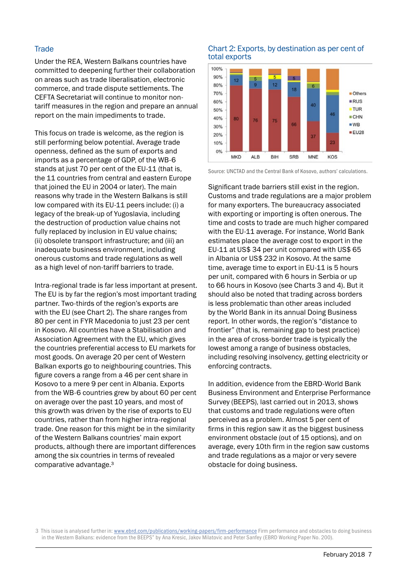#### **Trade**

Under the REA, Western Balkans countries have committed to deepening further their collaboration on areas such as trade liberalisation, electronic commerce, and trade dispute settlements. The CEFTA Secretariat will continue to monitor nontariff measures in the region and prepare an annual report on the main impediments to trade.

This focus on trade is welcome, as the region is still performing below potential. Average trade openness, defined as the sum of exports and imports as a percentage of GDP, of the WB-6 stands at just 70 per cent of the EU-11 (that is, the 11 countries from central and eastern Europe that joined the EU in 2004 or later). The main reasons why trade in the Western Balkans is still low compared with its EU-11 peers include: (i) a legacy of the break-up of Yugoslavia, including the destruction of production value chains not fully replaced by inclusion in EU value chains; (ii) obsolete transport infrastructure; and (iii) an inadequate business environment, including onerous customs and trade regulations as well as a high level of non-tariff barriers to trade.

Intra-regional trade is far less important at present. The EU is by far the region's most important trading partner. Two-thirds of the region's exports are with the EU (see Chart 2). The share ranges from 80 per cent in FYR Macedonia to just 23 per cent in Kosovo. All countries have a Stabilisation and Association Agreement with the EU, which gives the countries preferential access to EU markets for most goods. On average 20 per cent of Western Balkan exports go to neighbouring countries. This figure covers a range from a 46 per cent share in Kosovo to a mere 9 per cent in Albania. Exports from the WB-6 countries grew by about 60 per cent on average over the past 10 years, and most of this growth was driven by the rise of exports to EU countries, rather than from higher intra-regional trade. One reason for this might be in the similarity of the Western Balkans countries' main export products, although there are important differences among the six countries in terms of revealed comparative advantage.³

#### Chart 2: Exports, by destination as per cent of total exports



Source: UNCTAD and the Central Bank of Kosovo, authors' calculations.

Significant trade barriers still exist in the region. Customs and trade regulations are a major problem for many exporters. The bureaucracy associated with exporting or importing is often onerous. The time and costs to trade are much higher compared with the EU-11 average. For instance, World Bank estimates place the average cost to export in the EU-11 at US\$ 34 per unit compared with US\$ 65 in Albania or US\$ 232 in Kosovo. At the same time, average time to export in EU-11 is 5 hours per unit, compared with 6 hours in Serbia or up to 66 hours in Kosovo (see Charts 3 and 4). But it should also be noted that trading across borders is less problematic than other areas included by the World Bank in its annual Doing Business report. In other words, the region's "distance to frontier" (that is, remaining gap to best practice) in the area of cross-border trade is typically the lowest among a range of business obstacles, including resolving insolvency, getting electricity or enforcing contracts.

In addition, evidence from the EBRD-World Bank Business Environment and Enterprise Performance Survey (BEEPS), last carried out in 2013, shows that customs and trade regulations were often perceived as a problem. Almost 5 per cent of firms in this region saw it as the biggest business environment obstacle (out of 15 options), and on average, every 10th firm in the region saw customs and trade regulations as a major or very severe obstacle for doing business.

3 This issue is analysed further in: [www.ebrd.com/publications/working-papers/firm-performance](http://www.ebrd.com/publications/working-papers/firm-performance) Firm performance and obstacles to doing business in the Western Balkans: evidence from the BEEPS" by Ana Kresic, Jakov Milatovic and Peter Sanfey (EBRD Working Paper No. 200).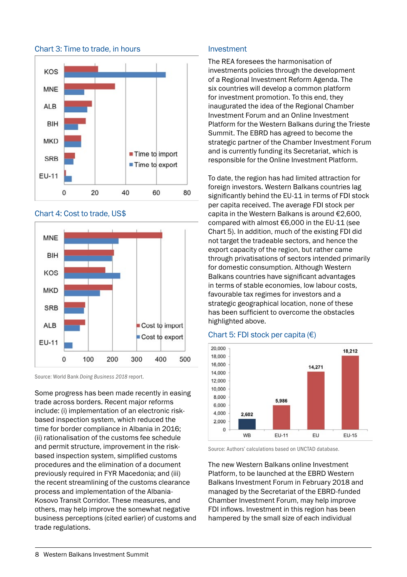

#### Chart 3: Time to trade, in hours

#### Chart 4: Cost to trade, US\$



Source: World Bank *Doing Business 2018* report.

Some progress has been made recently in easing trade across borders. Recent major reforms include: (i) implementation of an electronic riskbased inspection system, which reduced the time for border compliance in Albania in 2016; (ii) rationalisation of the customs fee schedule and permit structure, improvement in the riskbased inspection system, simplified customs procedures and the elimination of a document previously required in FYR Macedonia; and (iii) the recent streamlining of the customs clearance process and implementation of the Albania-Kosovo Transit Corridor. These measures, and others, may help improve the somewhat negative business perceptions (cited earlier) of customs and trade regulations.

#### Investment

The REA foresees the harmonisation of investments policies through the development of a Regional Investment Reform Agenda. The six countries will develop a common platform for investment promotion. To this end, they inaugurated the idea of the Regional Chamber Investment Forum and an Online Investment Platform for the Western Balkans during the Trieste Summit. The EBRD has agreed to become the strategic partner of the Chamber Investment Forum and is currently funding its Secretariat, which is responsible for the Online Investment Platform.

To date, the region has had limited attraction for foreign investors. Western Balkans countries lag significantly behind the EU-11 in terms of FDI stock per capita received. The average FDI stock per capita in the Western Balkans is around €2,600, compared with almost €6,000 in the EU-11 (see Chart 5). In addition, much of the existing FDI did not target the tradeable sectors, and hence the export capacity of the region, but rather came through privatisations of sectors intended primarily for domestic consumption. Although Western Balkans countries have significant advantages in terms of stable economies, low labour costs, favourable tax regimes for investors and a strategic geographical location, none of these has been sufficient to overcome the obstacles highlighted above.



#### Chart 5: FDI stock per capita  $(\epsilon)$

Source: Authors' calculations based on UNCTAD database.

The new Western Balkans online Investment Platform, to be launched at the EBRD Western Balkans Investment Forum in February 2018 and managed by the Secretariat of the EBRD-funded Chamber Investment Forum, may help improve FDI inflows. Investment in this region has been hampered by the small size of each individual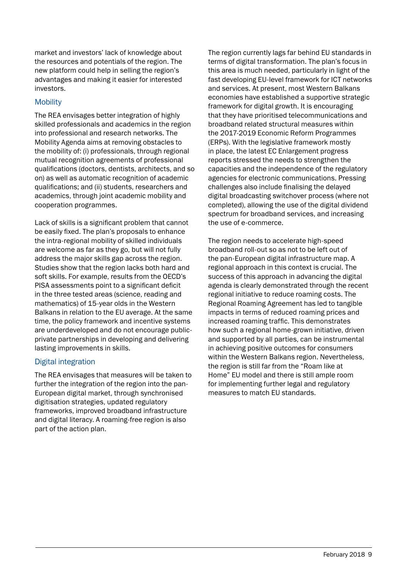market and investors' lack of knowledge about the resources and potentials of the region. The new platform could help in selling the region's advantages and making it easier for interested investors.

### **Mobility**

The REA envisages better integration of highly skilled professionals and academics in the region into professional and research networks. The Mobility Agenda aims at removing obstacles to the mobility of: (i) professionals, through regional mutual recognition agreements of professional qualifications (doctors, dentists, architects, and so on) as well as automatic recognition of academic qualifications; and (ii) students, researchers and academics, through joint academic mobility and cooperation programmes.

Lack of skills is a significant problem that cannot be easily fixed. The plan's proposals to enhance the intra-regional mobility of skilled individuals are welcome as far as they go, but will not fully address the major skills gap across the region. Studies show that the region lacks both hard and soft skills. For example, results from the OECD's PISA assessments point to a significant deficit in the three tested areas (science, reading and mathematics) of 15-year olds in the Western Balkans in relation to the EU average. At the same time, the policy framework and incentive systems are underdeveloped and do not encourage publicprivate partnerships in developing and delivering lasting improvements in skills.

#### Digital integration

The REA envisages that measures will be taken to further the integration of the region into the pan-European digital market, through synchronised digitisation strategies, updated regulatory frameworks, improved broadband infrastructure and digital literacy. A roaming-free region is also part of the action plan.

The region currently lags far behind EU standards in terms of digital transformation. The plan's focus in this area is much needed, particularly in light of the fast developing EU-level framework for ICT networks and services. At present, most Western Balkans economies have established a supportive strategic framework for digital growth. It is encouraging that they have prioritised telecommunications and broadband related structural measures within the 2017-2019 Economic Reform Programmes (ERPs). With the legislative framework mostly in place, the latest EC Enlargement progress reports stressed the needs to strengthen the capacities and the independence of the regulatory agencies for electronic communications. Pressing challenges also include finalising the delayed digital broadcasting switchover process (where not completed), allowing the use of the digital dividend spectrum for broadband services, and increasing the use of e-commerce.

The region needs to accelerate high-speed broadband roll-out so as not to be left out of the pan-European digital infrastructure map. A regional approach in this context is crucial. The success of this approach in advancing the digital agenda is clearly demonstrated through the recent regional initiative to reduce roaming costs. The Regional Roaming Agreement has led to tangible impacts in terms of reduced roaming prices and increased roaming traffic. This demonstrates how such a regional home-grown initiative, driven and supported by all parties, can be instrumental in achieving positive outcomes for consumers within the Western Balkans region. Nevertheless, the region is still far from the "Roam like at Home" EU model and there is still ample room for implementing further legal and regulatory measures to match EU standards.